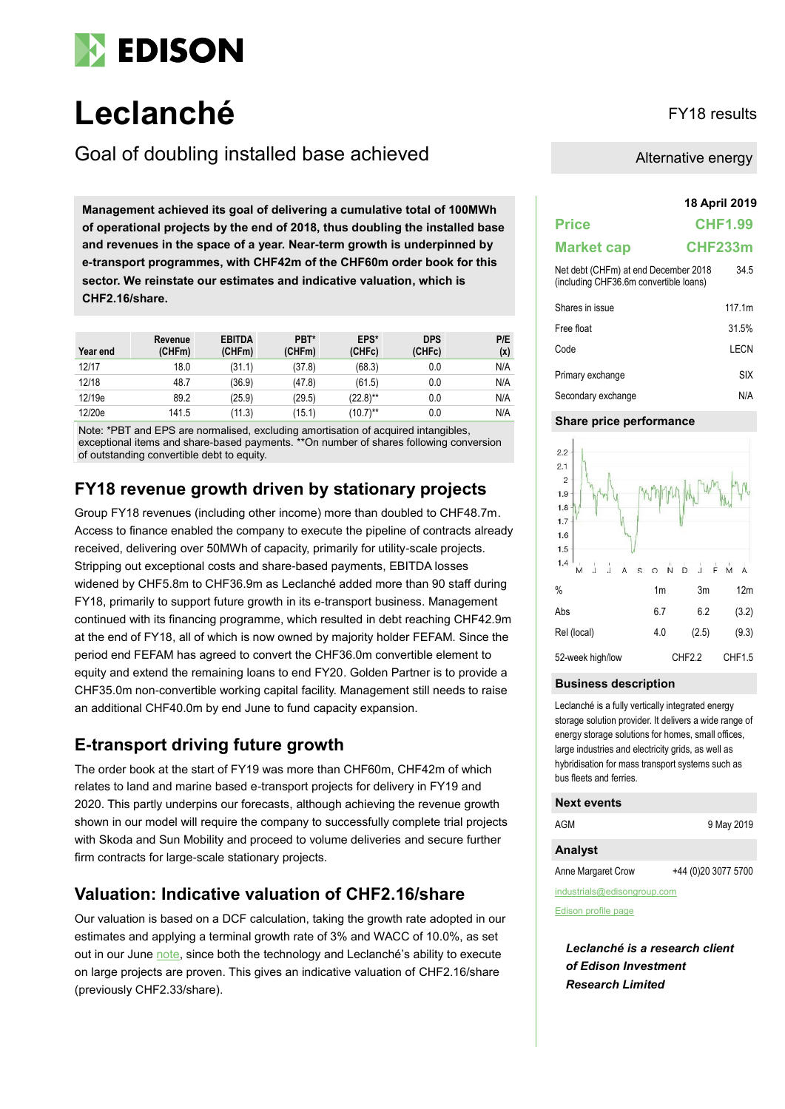

# **Leclanché** FY18 results

### Goal of doubling installed base achieved

**18 April 2019 Management achieved its goal of delivering a cumulative total of 100MWh of operational projects by the end of 2018, thus doubling the installed base and revenues in the space of a year. Near-term growth is underpinned by e-transport programmes, with CHF42m of the CHF60m order book for this sector. We reinstate our estimates and indicative valuation, which is CHF2.16/share.**

| Year end | Revenue<br>(CHFm) | <b>EBITDA</b><br>(CHFm) | PBT*<br>(CHFm) | EPS*<br>(CHFc) | <b>DPS</b><br>(CHFc) | P/E<br>(x) |
|----------|-------------------|-------------------------|----------------|----------------|----------------------|------------|
| 12/17    | 18.0              | (31.1)                  | (37.8)         | (68.3)         | 0.0                  | N/A        |
| 12/18    | 48.7              | (36.9)                  | (47.8)         | (61.5)         | 0.0                  | N/A        |
| 12/19e   | 89.2              | (25.9)                  | (29.5)         | $(22.8)$ **    | 0.0                  | N/A        |
| 12/20e   | 141.5             | (11.3)                  | (15.1)         | $(10.7)$ **    | 0.0                  | N/A        |

Note: \*PBT and EPS are normalised, excluding amortisation of acquired intangibles, exceptional items and share-based payments. \*\*On number of shares following conversion of outstanding convertible debt to equity.

### **FY18 revenue growth driven by stationary projects**

Group FY18 revenues (including other income) more than doubled to CHF48.7m. Access to finance enabled the company to execute the pipeline of contracts already received, delivering over 50MWh of capacity, primarily for utility-scale projects. Stripping out exceptional costs and share-based payments, EBITDA losses widened by CHF5.8m to CHF36.9m as Leclanché added more than 90 staff during FY18, primarily to support future growth in its e-transport business. Management continued with its financing programme, which resulted in debt reaching CHF42.9m at the end of FY18, all of which is now owned by majority holder FEFAM. Since the period end FEFAM has agreed to convert the CHF36.0m convertible element to equity and extend the remaining loans to end FY20. Golden Partner is to provide a CHF35.0m non-convertible working capital facility. Management still needs to raise an additional CHF40.0m by end June to fund capacity expansion.

### **E-transport driving future growth**

The order book at the start of FY19 was more than CHF60m, CHF42m of which relates to land and marine based e-transport projects for delivery in FY19 and 2020. This partly underpins our forecasts, although achieving the revenue growth shown in our model will require the company to successfully complete trial projects with Skoda and Sun Mobility and proceed to volume deliveries and secure further firm contracts for large-scale stationary projects.

### **Valuation: Indicative valuation of CHF2.16/share**

Our valuation is based on a DCF calculation, taking the growth rate adopted in our estimates and applying a terminal growth rate of 3% and WACC of 10.0%, as set out in our Jun[e note,](https://www.edisoninvestmentresearch.com/research/report/leclanch23381655/preview/) since both the technology and Leclanché's ability to execute on large projects are proven. This gives an indicative valuation of CHF2.16/share (previously CHF2.33/share).

Alternative energy

| <b>Price</b>                                                                   | <b>CHF1.99</b>     |
|--------------------------------------------------------------------------------|--------------------|
| <b>Market cap</b>                                                              | CHF233m            |
| Net debt (CHFm) at end December 2018<br>(including CHF36.6m convertible loans) | 34.5               |
| Shares in issue                                                                | 117.1 <sub>m</sub> |
| Free float                                                                     | 31.5%              |
| Code                                                                           | I FCN              |
| Primary exchange                                                               | SIX                |

Secondary exchange N/A

#### **Share price performance**



#### **Business description**

Leclanché is a fully vertically integrated energy storage solution provider. It delivers a wide range of energy storage solutions for homes, small offices, large industries and electricity grids, as well as hybridisation for mass transport systems such as bus fleets and ferries.

#### **Next events**

| AGM                | 9 May 2019          |
|--------------------|---------------------|
| <b>Analyst</b>     |                     |
| Anne Margaret Crow | +44 (0)20 3077 5700 |

industrials@edisongroup.com

[Edison profile page](https://www.edisongroup.com/company/leclanch/2561/)

*Leclanché is a research client of Edison Investment Research Limited*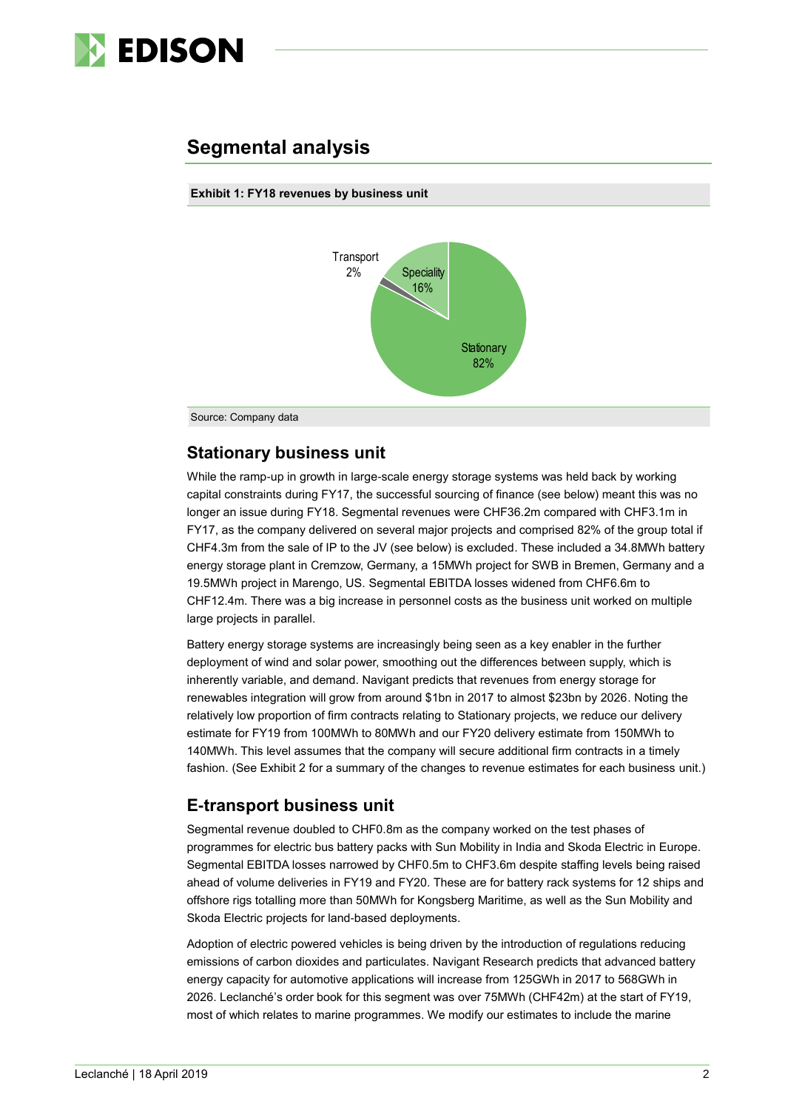

### **Segmental analysis**

#### **Exhibit 1: FY18 revenues by business unit**



Source: Company data

### **Stationary business unit**

While the ramp-up in growth in large-scale energy storage systems was held back by working capital constraints during FY17, the successful sourcing of finance (see below) meant this was no longer an issue during FY18. Segmental revenues were CHF36.2m compared with CHF3.1m in FY17, as the company delivered on several major projects and comprised 82% of the group total if CHF4.3m from the sale of IP to the JV (see below) is excluded. These included a 34.8MWh battery energy storage plant in Cremzow, Germany, a 15MWh project for SWB in Bremen, Germany and a 19.5MWh project in Marengo, US. Segmental EBITDA losses widened from CHF6.6m to CHF12.4m. There was a big increase in personnel costs as the business unit worked on multiple large projects in parallel.

Battery energy storage systems are increasingly being seen as a key enabler in the further deployment of wind and solar power, smoothing out the differences between supply, which is inherently variable, and demand. Navigant predicts that revenues from energy storage for renewables integration will grow from around \$1bn in 2017 to almost \$23bn by 2026. Noting the relatively low proportion of firm contracts relating to Stationary projects, we reduce our delivery estimate for FY19 from 100MWh to 80MWh and our FY20 delivery estimate from 150MWh to 140MWh. This level assumes that the company will secure additional firm contracts in a timely fashion. (See Exhibit 2 for a summary of the changes to revenue estimates for each business unit.)

### **E-transport business unit**

Segmental revenue doubled to CHF0.8m as the company worked on the test phases of programmes for electric bus battery packs with Sun Mobility in India and Skoda Electric in Europe. Segmental EBITDA losses narrowed by CHF0.5m to CHF3.6m despite staffing levels being raised ahead of volume deliveries in FY19 and FY20. These are for battery rack systems for 12 ships and offshore rigs totalling more than 50MWh for Kongsberg Maritime, as well as the Sun Mobility and Skoda Electric projects for land-based deployments.

Adoption of electric powered vehicles is being driven by the introduction of regulations reducing emissions of carbon dioxides and particulates. Navigant Research predicts that advanced battery energy capacity for automotive applications will increase from 125GWh in 2017 to 568GWh in 2026. Leclanché's order book for this segment was over 75MWh (CHF42m) at the start of FY19, most of which relates to marine programmes. We modify our estimates to include the marine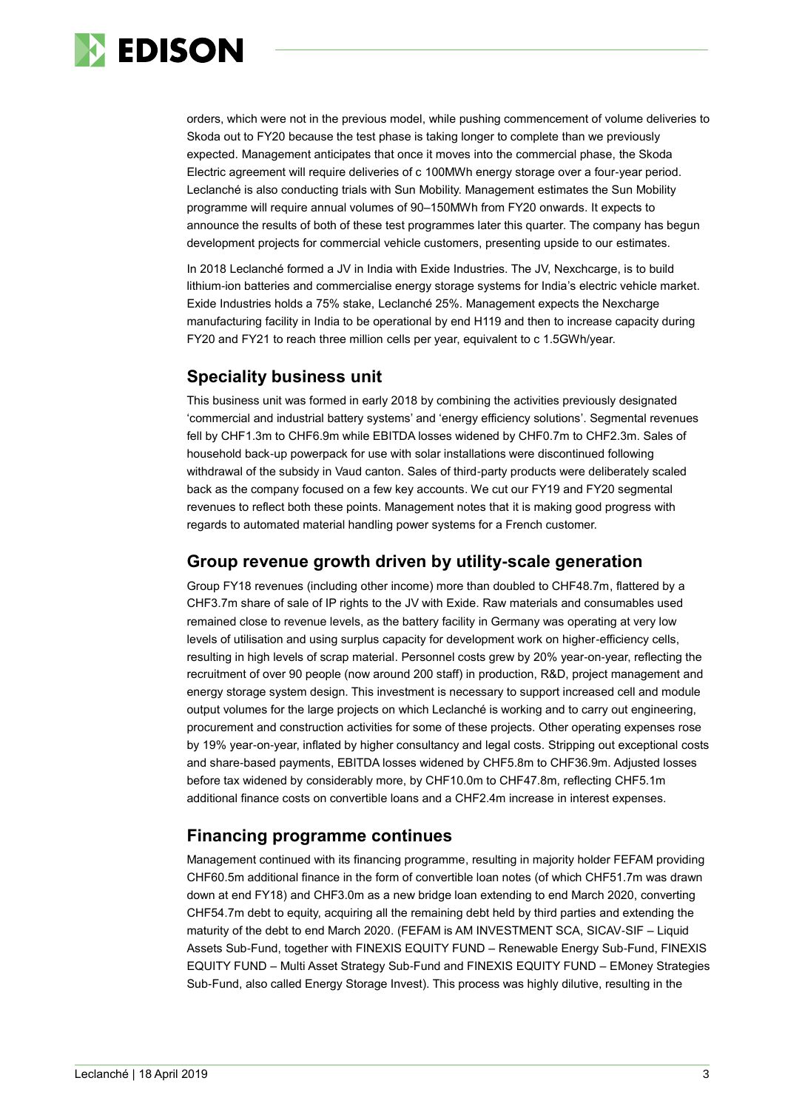

orders, which were not in the previous model, while pushing commencement of volume deliveries to Skoda out to FY20 because the test phase is taking longer to complete than we previously expected. Management anticipates that once it moves into the commercial phase, the Skoda Electric agreement will require deliveries of c 100MWh energy storage over a four-year period. Leclanché is also conducting trials with Sun Mobility. Management estimates the Sun Mobility programme will require annual volumes of 90–150MWh from FY20 onwards. It expects to announce the results of both of these test programmes later this quarter. The company has begun development projects for commercial vehicle customers, presenting upside to our estimates.

In 2018 Leclanché formed a JV in India with Exide Industries. The JV, Nexchcarge, is to build lithium-ion batteries and commercialise energy storage systems for India's electric vehicle market. Exide Industries holds a 75% stake, Leclanché 25%. Management expects the Nexcharge manufacturing facility in India to be operational by end H119 and then to increase capacity during FY20 and FY21 to reach three million cells per year, equivalent to c 1.5GWh/year.

### **Speciality business unit**

This business unit was formed in early 2018 by combining the activities previously designated 'commercial and industrial battery systems' and 'energy efficiency solutions'. Segmental revenues fell by CHF1.3m to CHF6.9m while EBITDA losses widened by CHF0.7m to CHF2.3m. Sales of household back-up powerpack for use with solar installations were discontinued following withdrawal of the subsidy in Vaud canton. Sales of third-party products were deliberately scaled back as the company focused on a few key accounts. We cut our FY19 and FY20 segmental revenues to reflect both these points. Management notes that it is making good progress with regards to automated material handling power systems for a French customer.

### **Group revenue growth driven by utility-scale generation**

Group FY18 revenues (including other income) more than doubled to CHF48.7m, flattered by a CHF3.7m share of sale of IP rights to the JV with Exide. Raw materials and consumables used remained close to revenue levels, as the battery facility in Germany was operating at very low levels of utilisation and using surplus capacity for development work on higher-efficiency cells, resulting in high levels of scrap material. Personnel costs grew by 20% year-on-year, reflecting the recruitment of over 90 people (now around 200 staff) in production, R&D, project management and energy storage system design. This investment is necessary to support increased cell and module output volumes for the large projects on which Leclanché is working and to carry out engineering, procurement and construction activities for some of these projects. Other operating expenses rose by 19% year-on-year, inflated by higher consultancy and legal costs. Stripping out exceptional costs and share-based payments, EBITDA losses widened by CHF5.8m to CHF36.9m. Adjusted losses before tax widened by considerably more, by CHF10.0m to CHF47.8m, reflecting CHF5.1m additional finance costs on convertible loans and a CHF2.4m increase in interest expenses.

### **Financing programme continues**

Management continued with its financing programme, resulting in majority holder FEFAM providing CHF60.5m additional finance in the form of convertible loan notes (of which CHF51.7m was drawn down at end FY18) and CHF3.0m as a new bridge loan extending to end March 2020, converting CHF54.7m debt to equity, acquiring all the remaining debt held by third parties and extending the maturity of the debt to end March 2020. (FEFAM is AM INVESTMENT SCA, SICAV-SIF – Liquid Assets Sub-Fund, together with FINEXIS EQUITY FUND – Renewable Energy Sub-Fund, FINEXIS EQUITY FUND – Multi Asset Strategy Sub-Fund and FINEXIS EQUITY FUND – EMoney Strategies Sub-Fund, also called Energy Storage Invest). This process was highly dilutive, resulting in the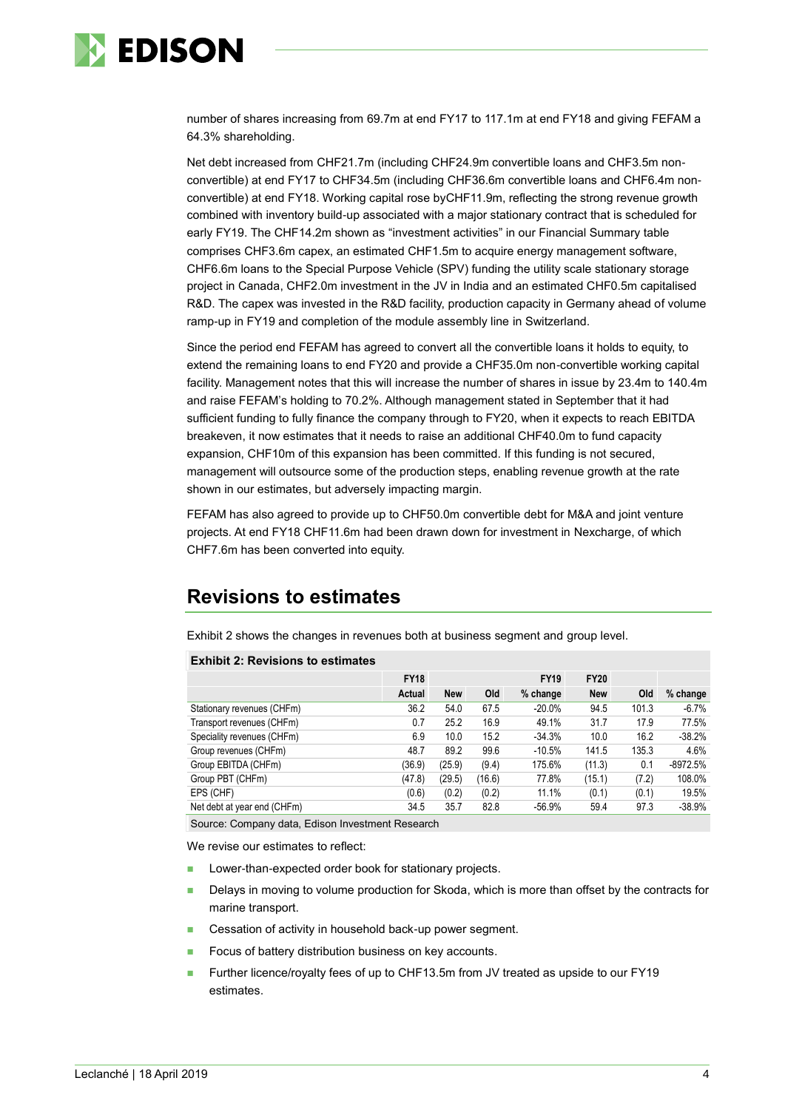

number of shares increasing from 69.7m at end FY17 to 117.1m at end FY18 and giving FEFAM a 64.3% shareholding.

Net debt increased from CHF21.7m (including CHF24.9m convertible loans and CHF3.5m nonconvertible) at end FY17 to CHF34.5m (including CHF36.6m convertible loans and CHF6.4m nonconvertible) at end FY18. Working capital rose byCHF11.9m, reflecting the strong revenue growth combined with inventory build-up associated with a major stationary contract that is scheduled for early FY19. The CHF14.2m shown as "investment activities" in our Financial Summary table comprises CHF3.6m capex, an estimated CHF1.5m to acquire energy management software, CHF6.6m loans to the Special Purpose Vehicle (SPV) funding the utility scale stationary storage project in Canada, CHF2.0m investment in the JV in India and an estimated CHF0.5m capitalised R&D. The capex was invested in the R&D facility, production capacity in Germany ahead of volume ramp-up in FY19 and completion of the module assembly line in Switzerland.

Since the period end FEFAM has agreed to convert all the convertible loans it holds to equity, to extend the remaining loans to end FY20 and provide a CHF35.0m non-convertible working capital facility. Management notes that this will increase the number of shares in issue by 23.4m to 140.4m and raise FEFAM's holding to 70.2%. Although management stated in September that it had sufficient funding to fully finance the company through to FY20, when it expects to reach EBITDA breakeven, it now estimates that it needs to raise an additional CHF40.0m to fund capacity expansion, CHF10m of this expansion has been committed. If this funding is not secured, management will outsource some of the production steps, enabling revenue growth at the rate shown in our estimates, but adversely impacting margin.

FEFAM has also agreed to provide up to CHF50.0m convertible debt for M&A and joint venture projects. At end FY18 CHF11.6m had been drawn down for investment in Nexcharge, of which CHF7.6m has been converted into equity.

## **Revisions to estimates**

Exhibit 2 shows the changes in revenues both at business segment and group level.

#### **Exhibit 2: Revisions to estimates**

|                             | <b>FY18</b> | <b>FY19</b> |        |          | <b>FY20</b> |       |            |
|-----------------------------|-------------|-------------|--------|----------|-------------|-------|------------|
|                             | Actual      | <b>New</b>  | Old    | % change | <b>New</b>  | Old   | % change   |
| Stationary revenues (CHFm)  | 36.2        | 54.0        | 67.5   | $-20.0%$ | 94.5        | 101.3 | $-6.7%$    |
| Transport revenues (CHFm)   | 0.7         | 25.2        | 16.9   | 49.1%    | 31.7        | 17.9  | 77.5%      |
| Speciality revenues (CHFm)  | 6.9         | 10.0        | 15.2   | $-34.3%$ | 10.0        | 16.2  | $-38.2%$   |
| Group revenues (CHFm)       | 48.7        | 89.2        | 99.6   | $-10.5%$ | 141.5       | 135.3 | 4.6%       |
| Group EBITDA (CHFm)         | (36.9)      | (25.9)      | (9.4)  | 175.6%   | (11.3)      | 0.1   | $-8972.5%$ |
| Group PBT (CHFm)            | (47.8)      | (29.5)      | (16.6) | 77.8%    | (15.1)      | (7.2) | 108.0%     |
| EPS (CHF)                   | (0.6)       | (0.2)       | (0.2)  | 11.1%    | (0.1)       | (0.1) | 19.5%      |
| Net debt at year end (CHFm) | 34.5        | 35.7        | 82.8   | $-56.9%$ | 59.4        | 97.3  | $-38.9%$   |

Source: Company data, Edison Investment Research

We revise our estimates to reflect:

- Lower-than-expected order book for stationary projects.
- Delays in moving to volume production for Skoda, which is more than offset by the contracts for marine transport.
- Cessation of activity in household back-up power segment.
- ◼ Focus of battery distribution business on key accounts.
- ◼ Further licence/royalty fees of up to CHF13.5m from JV treated as upside to our FY19 estimates.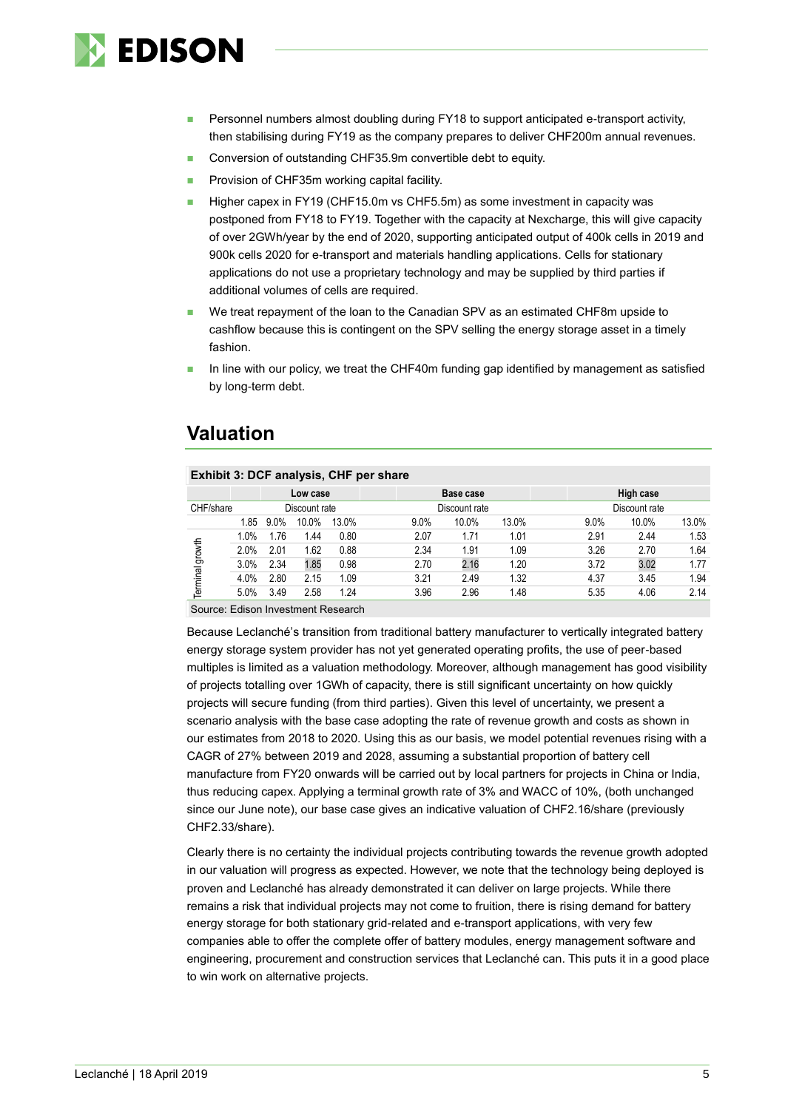

- Personnel numbers almost doubling during FY18 to support anticipated e-transport activity, then stabilising during FY19 as the company prepares to deliver CHF200m annual revenues.
- Conversion of outstanding CHF35.9m convertible debt to equity.
- Provision of CHF35m working capital facility.
- Higher capex in FY19 (CHF15.0m vs CHF5.5m) as some investment in capacity was postponed from FY18 to FY19. Together with the capacity at Nexcharge, this will give capacity of over 2GWh/year by the end of 2020, supporting anticipated output of 400k cells in 2019 and 900k cells 2020 for e-transport and materials handling applications. Cells for stationary applications do not use a proprietary technology and may be supplied by third parties if additional volumes of cells are required.
- We treat repayment of the loan to the Canadian SPV as an estimated CHF8m upside to cashflow because this is contingent on the SPV selling the energy storage asset in a timely fashion.
- In line with our policy, we treat the CHF40m funding gap identified by management as satisfied by long-term debt.

### **Valuation**

| Exhibit 3: DCF analysis, CHF per share |      |                                              |       |                           |               |       |  |               |                                              |  |
|----------------------------------------|------|----------------------------------------------|-------|---------------------------|---------------|-------|--|---------------|----------------------------------------------|--|
|                                        |      |                                              |       |                           | Base case     |       |  | High case     |                                              |  |
| CHF/share                              |      |                                              |       |                           | Discount rate |       |  | Discount rate |                                              |  |
|                                        | 9.0% | 10.0%                                        | 13.0% | 9.0%                      | 10.0%         | 13.0% |  | 10.0%         | 13.0%                                        |  |
|                                        | 1.76 | 1.44                                         | 0.80  | 2.07                      | 1.71          | 1.01  |  | 2.44          | 1.53                                         |  |
|                                        | 2.01 | 1.62                                         | 0.88  | 2.34                      | 1.91          | 1.09  |  | 2.70          | 1.64                                         |  |
|                                        | 2.34 | 1.85                                         | 0.98  | 2.70                      | 2.16          | 1.20  |  | 3.02          | 1.77                                         |  |
|                                        | 2.80 | 2.15                                         | 1.09  | 3.21                      | 2.49          | 1.32  |  | 3.45          | 1.94                                         |  |
|                                        | 3.49 | 2.58                                         | 1.24  | 3.96                      | 2.96          | 1.48  |  | 4.06          | 2.14                                         |  |
|                                        |      | 1.85<br>1.0%<br>2.0%<br>3.0%<br>4.0%<br>5.0% |       | Low case<br>Discount rate |               |       |  |               | 9.0%<br>2.91<br>3.26<br>3.72<br>4.37<br>5.35 |  |

Source: Edison Investment Research

Because Leclanché's transition from traditional battery manufacturer to vertically integrated battery energy storage system provider has not yet generated operating profits, the use of peer-based multiples is limited as a valuation methodology. Moreover, although management has good visibility of projects totalling over 1GWh of capacity, there is still significant uncertainty on how quickly projects will secure funding (from third parties). Given this level of uncertainty, we present a scenario analysis with the base case adopting the rate of revenue growth and costs as shown in our estimates from 2018 to 2020. Using this as our basis, we model potential revenues rising with a CAGR of 27% between 2019 and 2028, assuming a substantial proportion of battery cell manufacture from FY20 onwards will be carried out by local partners for projects in China or India, thus reducing capex. Applying a terminal growth rate of 3% and WACC of 10%, (both unchanged since our June note), our base case gives an indicative valuation of CHF2.16/share (previously CHF2.33/share).

Clearly there is no certainty the individual projects contributing towards the revenue growth adopted in our valuation will progress as expected. However, we note that the technology being deployed is proven and Leclanché has already demonstrated it can deliver on large projects. While there remains a risk that individual projects may not come to fruition, there is rising demand for battery energy storage for both stationary grid-related and e-transport applications, with very few companies able to offer the complete offer of battery modules, energy management software and engineering, procurement and construction services that Leclanché can. This puts it in a good place to win work on alternative projects.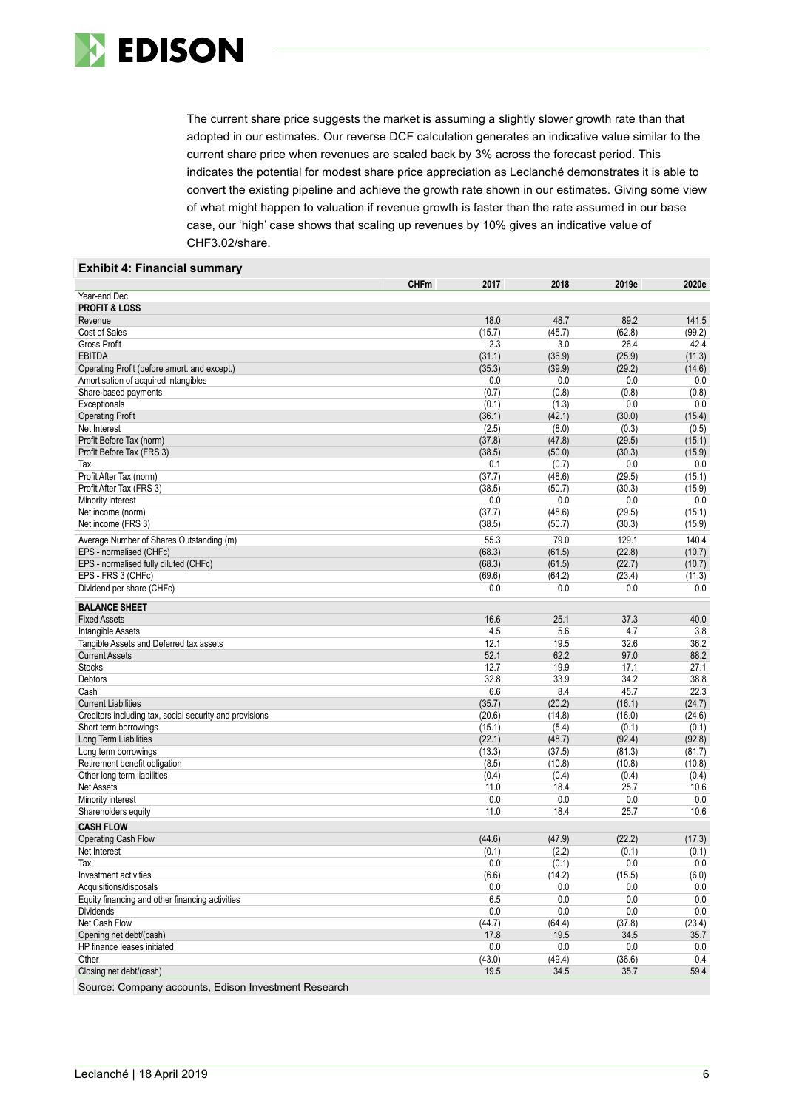

The current share price suggests the market is assuming a slightly slower growth rate than that adopted in our estimates. Our reverse DCF calculation generates an indicative value similar to the current share price when revenues are scaled back by 3% across the forecast period. This indicates the potential for modest share price appreciation as Leclanché demonstrates it is able to convert the existing pipeline and achieve the growth rate shown in our estimates. Giving some view of what might happen to valuation if revenue growth is faster than the rate assumed in our base case, our 'high' case shows that scaling up revenues by 10% gives an indicative value of CHF3.02/share.

#### **Exhibit 4: Financial summary**

| Year-end Dec<br><b>PROFIT &amp; LOSS</b><br>Revenue<br>18.0<br>48.7<br>89.2<br>141.5<br>Cost of Sales<br>(15.7)<br>(45.7)<br>(62.8)<br>(99.2)<br>2.3<br><b>Gross Profit</b><br>3.0<br>26.4<br>42.4<br><b>EBITDA</b><br>(31.1)<br>(36.9)<br>(25.9)<br>(11.3)<br>Operating Profit (before amort. and except.)<br>(35.3)<br>(39.9)<br>(29.2)<br>(14.6)<br>0.0<br>0.0<br>0.0<br>0.0<br>Amortisation of acquired intangibles<br>(0.7)<br>(0.8)<br>(0.8)<br>(0.8)<br>Share-based payments<br>0.0<br>Exceptionals<br>(0.1)<br>(1.3)<br>0.0<br><b>Operating Profit</b><br>(36.1)<br>(42.1)<br>(30.0)<br>(15.4)<br>Net Interest<br>(2.5)<br>(8.0)<br>(0.3)<br>(0.5)<br>Profit Before Tax (norm)<br>(29.5)<br>(37.8)<br>(47.8)<br>(15.1)<br>Profit Before Tax (FRS 3)<br>(38.5)<br>(50.0)<br>(30.3)<br>(15.9)<br>0.1<br>(0.7)<br>0.0<br>0.0<br>Tax<br>Profit After Tax (norm)<br>(37.7)<br>(29.5)<br>(15.1)<br>(48.6)<br>Profit After Tax (FRS 3)<br>(30.3)<br>(15.9)<br>(38.5)<br>(50.7)<br>Minority interest<br>0.0<br>0.0<br>0.0<br>0.0<br>Net income (norm)<br>(37.7)<br>(48.6)<br>(29.5)<br>(15.1)<br>Net income (FRS 3)<br>(38.5)<br>(50.7)<br>(30.3)<br>(15.9)<br>Average Number of Shares Outstanding (m)<br>55.3<br>79.0<br>129.1<br>140.4<br>(68.3)<br>(22.8)<br>EPS - normalised (CHFc)<br>(61.5)<br>(10.7)<br>EPS - normalised fully diluted (CHFc)<br>(68.3)<br>(61.5)<br>(22.7)<br>(10.7)<br>EPS - FRS 3 (CHFc)<br>(69.6)<br>(64.2)<br>(23.4)<br>(11.3)<br>Dividend per share (CHFc)<br>0.0<br>0.0<br>0.0<br>0.0<br><b>BALANCE SHEET</b><br><b>Fixed Assets</b><br>16.6<br>25.1<br>37.3<br>40.0<br>4.5<br>5.6<br>4.7<br>3.8<br>Intangible Assets<br>12.1<br>32.6<br>36.2<br>Tangible Assets and Deferred tax assets<br>19.5<br>62.2<br><b>Current Assets</b><br>52.1<br>97.0<br>88.2<br><b>Stocks</b><br>12.7<br>19.9<br>17.1<br>27.1<br>32.8<br>33.9<br>34.2<br>38.8<br>Debtors<br>Cash<br>6.6<br>8.4<br>45.7<br>22.3<br>(24.7)<br>(35.7)<br>(20.2)<br>(16.1)<br><b>Current Liabilities</b><br>(20.6)<br>(14.8)<br>(16.0)<br>(24.6)<br>Creditors including tax, social security and provisions<br>(15.1)<br>(5.4)<br>(0.1)<br>(0.1)<br>Short term borrowings<br>Long Term Liabilities<br>(22.1)<br>(48.7)<br>(92.4)<br>(92.8)<br>(13.3)<br>(37.5)<br>(81.3)<br>(81.7)<br>Long term borrowings<br>Retirement benefit obligation<br>(8.5)<br>(10.8)<br>(10.8)<br>(10.8)<br>Other long term liabilities<br>(0.4)<br>(0.4)<br>(0.4)<br>(0.4)<br>25.7<br><b>Net Assets</b><br>11.0<br>18.4<br>10.6<br>0.0<br>0.0<br>0.0<br>0.0<br>Minority interest<br>11.0<br>18.4<br>25.7<br>Shareholders equity<br>10.6<br><b>CASH FLOW</b><br>(44.6)<br>(47.9)<br>(22.2)<br>(17.3)<br>Operating Cash Flow<br>(0.1)<br>(2.2)<br>(0.1)<br>Net Interest<br>(0.1)<br>0.0<br>0.0<br>Tax<br>0.0<br>(0.1)<br>Investment activities<br>(6.6)<br>(14.2)<br>(15.5)<br>(6.0)<br>Acquisitions/disposals<br>0.0<br>0.0<br>0.0<br>0.0<br>6.5<br>Equity financing and other financing activities<br>0.0<br>0.0<br>0.0<br><b>Dividends</b><br>0.0<br>0.0<br>0.0<br>0.0<br>Net Cash Flow<br>(37.8)<br>(23.4)<br>(44.7)<br>(64.4)<br>Opening net debt/(cash)<br>34.5<br>35.7<br>17.8<br>19.5<br>HP finance leases initiated<br>0.0<br>0.0<br>0.0<br>0.0<br>(43.0)<br>(36.6)<br>0.4<br>Other<br>(49.4)<br>Closing net debt/(cash)<br>19.5<br>34.5<br>35.7<br>59.4 |                                                      | <b>CHFm</b> | 2017 | 2018 | 2019e | 2020e |
|------------------------------------------------------------------------------------------------------------------------------------------------------------------------------------------------------------------------------------------------------------------------------------------------------------------------------------------------------------------------------------------------------------------------------------------------------------------------------------------------------------------------------------------------------------------------------------------------------------------------------------------------------------------------------------------------------------------------------------------------------------------------------------------------------------------------------------------------------------------------------------------------------------------------------------------------------------------------------------------------------------------------------------------------------------------------------------------------------------------------------------------------------------------------------------------------------------------------------------------------------------------------------------------------------------------------------------------------------------------------------------------------------------------------------------------------------------------------------------------------------------------------------------------------------------------------------------------------------------------------------------------------------------------------------------------------------------------------------------------------------------------------------------------------------------------------------------------------------------------------------------------------------------------------------------------------------------------------------------------------------------------------------------------------------------------------------------------------------------------------------------------------------------------------------------------------------------------------------------------------------------------------------------------------------------------------------------------------------------------------------------------------------------------------------------------------------------------------------------------------------------------------------------------------------------------------------------------------------------------------------------------------------------------------------------------------------------------------------------------------------------------------------------------------------------------------------------------------------------------------------------------------------------------------------------------------------------------------------------------------------------------------------------------------------------------------------------------------------------------------------------------------------------------------------------------------------------------------------------------------------------------------------------------------------------------------------------|------------------------------------------------------|-------------|------|------|-------|-------|
|                                                                                                                                                                                                                                                                                                                                                                                                                                                                                                                                                                                                                                                                                                                                                                                                                                                                                                                                                                                                                                                                                                                                                                                                                                                                                                                                                                                                                                                                                                                                                                                                                                                                                                                                                                                                                                                                                                                                                                                                                                                                                                                                                                                                                                                                                                                                                                                                                                                                                                                                                                                                                                                                                                                                                                                                                                                                                                                                                                                                                                                                                                                                                                                                                                                                                                                                    |                                                      |             |      |      |       |       |
|                                                                                                                                                                                                                                                                                                                                                                                                                                                                                                                                                                                                                                                                                                                                                                                                                                                                                                                                                                                                                                                                                                                                                                                                                                                                                                                                                                                                                                                                                                                                                                                                                                                                                                                                                                                                                                                                                                                                                                                                                                                                                                                                                                                                                                                                                                                                                                                                                                                                                                                                                                                                                                                                                                                                                                                                                                                                                                                                                                                                                                                                                                                                                                                                                                                                                                                                    |                                                      |             |      |      |       |       |
|                                                                                                                                                                                                                                                                                                                                                                                                                                                                                                                                                                                                                                                                                                                                                                                                                                                                                                                                                                                                                                                                                                                                                                                                                                                                                                                                                                                                                                                                                                                                                                                                                                                                                                                                                                                                                                                                                                                                                                                                                                                                                                                                                                                                                                                                                                                                                                                                                                                                                                                                                                                                                                                                                                                                                                                                                                                                                                                                                                                                                                                                                                                                                                                                                                                                                                                                    |                                                      |             |      |      |       |       |
|                                                                                                                                                                                                                                                                                                                                                                                                                                                                                                                                                                                                                                                                                                                                                                                                                                                                                                                                                                                                                                                                                                                                                                                                                                                                                                                                                                                                                                                                                                                                                                                                                                                                                                                                                                                                                                                                                                                                                                                                                                                                                                                                                                                                                                                                                                                                                                                                                                                                                                                                                                                                                                                                                                                                                                                                                                                                                                                                                                                                                                                                                                                                                                                                                                                                                                                                    |                                                      |             |      |      |       |       |
|                                                                                                                                                                                                                                                                                                                                                                                                                                                                                                                                                                                                                                                                                                                                                                                                                                                                                                                                                                                                                                                                                                                                                                                                                                                                                                                                                                                                                                                                                                                                                                                                                                                                                                                                                                                                                                                                                                                                                                                                                                                                                                                                                                                                                                                                                                                                                                                                                                                                                                                                                                                                                                                                                                                                                                                                                                                                                                                                                                                                                                                                                                                                                                                                                                                                                                                                    |                                                      |             |      |      |       |       |
|                                                                                                                                                                                                                                                                                                                                                                                                                                                                                                                                                                                                                                                                                                                                                                                                                                                                                                                                                                                                                                                                                                                                                                                                                                                                                                                                                                                                                                                                                                                                                                                                                                                                                                                                                                                                                                                                                                                                                                                                                                                                                                                                                                                                                                                                                                                                                                                                                                                                                                                                                                                                                                                                                                                                                                                                                                                                                                                                                                                                                                                                                                                                                                                                                                                                                                                                    |                                                      |             |      |      |       |       |
|                                                                                                                                                                                                                                                                                                                                                                                                                                                                                                                                                                                                                                                                                                                                                                                                                                                                                                                                                                                                                                                                                                                                                                                                                                                                                                                                                                                                                                                                                                                                                                                                                                                                                                                                                                                                                                                                                                                                                                                                                                                                                                                                                                                                                                                                                                                                                                                                                                                                                                                                                                                                                                                                                                                                                                                                                                                                                                                                                                                                                                                                                                                                                                                                                                                                                                                                    |                                                      |             |      |      |       |       |
|                                                                                                                                                                                                                                                                                                                                                                                                                                                                                                                                                                                                                                                                                                                                                                                                                                                                                                                                                                                                                                                                                                                                                                                                                                                                                                                                                                                                                                                                                                                                                                                                                                                                                                                                                                                                                                                                                                                                                                                                                                                                                                                                                                                                                                                                                                                                                                                                                                                                                                                                                                                                                                                                                                                                                                                                                                                                                                                                                                                                                                                                                                                                                                                                                                                                                                                                    |                                                      |             |      |      |       |       |
|                                                                                                                                                                                                                                                                                                                                                                                                                                                                                                                                                                                                                                                                                                                                                                                                                                                                                                                                                                                                                                                                                                                                                                                                                                                                                                                                                                                                                                                                                                                                                                                                                                                                                                                                                                                                                                                                                                                                                                                                                                                                                                                                                                                                                                                                                                                                                                                                                                                                                                                                                                                                                                                                                                                                                                                                                                                                                                                                                                                                                                                                                                                                                                                                                                                                                                                                    |                                                      |             |      |      |       |       |
|                                                                                                                                                                                                                                                                                                                                                                                                                                                                                                                                                                                                                                                                                                                                                                                                                                                                                                                                                                                                                                                                                                                                                                                                                                                                                                                                                                                                                                                                                                                                                                                                                                                                                                                                                                                                                                                                                                                                                                                                                                                                                                                                                                                                                                                                                                                                                                                                                                                                                                                                                                                                                                                                                                                                                                                                                                                                                                                                                                                                                                                                                                                                                                                                                                                                                                                                    |                                                      |             |      |      |       |       |
|                                                                                                                                                                                                                                                                                                                                                                                                                                                                                                                                                                                                                                                                                                                                                                                                                                                                                                                                                                                                                                                                                                                                                                                                                                                                                                                                                                                                                                                                                                                                                                                                                                                                                                                                                                                                                                                                                                                                                                                                                                                                                                                                                                                                                                                                                                                                                                                                                                                                                                                                                                                                                                                                                                                                                                                                                                                                                                                                                                                                                                                                                                                                                                                                                                                                                                                                    |                                                      |             |      |      |       |       |
|                                                                                                                                                                                                                                                                                                                                                                                                                                                                                                                                                                                                                                                                                                                                                                                                                                                                                                                                                                                                                                                                                                                                                                                                                                                                                                                                                                                                                                                                                                                                                                                                                                                                                                                                                                                                                                                                                                                                                                                                                                                                                                                                                                                                                                                                                                                                                                                                                                                                                                                                                                                                                                                                                                                                                                                                                                                                                                                                                                                                                                                                                                                                                                                                                                                                                                                                    |                                                      |             |      |      |       |       |
|                                                                                                                                                                                                                                                                                                                                                                                                                                                                                                                                                                                                                                                                                                                                                                                                                                                                                                                                                                                                                                                                                                                                                                                                                                                                                                                                                                                                                                                                                                                                                                                                                                                                                                                                                                                                                                                                                                                                                                                                                                                                                                                                                                                                                                                                                                                                                                                                                                                                                                                                                                                                                                                                                                                                                                                                                                                                                                                                                                                                                                                                                                                                                                                                                                                                                                                                    |                                                      |             |      |      |       |       |
|                                                                                                                                                                                                                                                                                                                                                                                                                                                                                                                                                                                                                                                                                                                                                                                                                                                                                                                                                                                                                                                                                                                                                                                                                                                                                                                                                                                                                                                                                                                                                                                                                                                                                                                                                                                                                                                                                                                                                                                                                                                                                                                                                                                                                                                                                                                                                                                                                                                                                                                                                                                                                                                                                                                                                                                                                                                                                                                                                                                                                                                                                                                                                                                                                                                                                                                                    |                                                      |             |      |      |       |       |
|                                                                                                                                                                                                                                                                                                                                                                                                                                                                                                                                                                                                                                                                                                                                                                                                                                                                                                                                                                                                                                                                                                                                                                                                                                                                                                                                                                                                                                                                                                                                                                                                                                                                                                                                                                                                                                                                                                                                                                                                                                                                                                                                                                                                                                                                                                                                                                                                                                                                                                                                                                                                                                                                                                                                                                                                                                                                                                                                                                                                                                                                                                                                                                                                                                                                                                                                    |                                                      |             |      |      |       |       |
|                                                                                                                                                                                                                                                                                                                                                                                                                                                                                                                                                                                                                                                                                                                                                                                                                                                                                                                                                                                                                                                                                                                                                                                                                                                                                                                                                                                                                                                                                                                                                                                                                                                                                                                                                                                                                                                                                                                                                                                                                                                                                                                                                                                                                                                                                                                                                                                                                                                                                                                                                                                                                                                                                                                                                                                                                                                                                                                                                                                                                                                                                                                                                                                                                                                                                                                                    |                                                      |             |      |      |       |       |
|                                                                                                                                                                                                                                                                                                                                                                                                                                                                                                                                                                                                                                                                                                                                                                                                                                                                                                                                                                                                                                                                                                                                                                                                                                                                                                                                                                                                                                                                                                                                                                                                                                                                                                                                                                                                                                                                                                                                                                                                                                                                                                                                                                                                                                                                                                                                                                                                                                                                                                                                                                                                                                                                                                                                                                                                                                                                                                                                                                                                                                                                                                                                                                                                                                                                                                                                    |                                                      |             |      |      |       |       |
|                                                                                                                                                                                                                                                                                                                                                                                                                                                                                                                                                                                                                                                                                                                                                                                                                                                                                                                                                                                                                                                                                                                                                                                                                                                                                                                                                                                                                                                                                                                                                                                                                                                                                                                                                                                                                                                                                                                                                                                                                                                                                                                                                                                                                                                                                                                                                                                                                                                                                                                                                                                                                                                                                                                                                                                                                                                                                                                                                                                                                                                                                                                                                                                                                                                                                                                                    |                                                      |             |      |      |       |       |
|                                                                                                                                                                                                                                                                                                                                                                                                                                                                                                                                                                                                                                                                                                                                                                                                                                                                                                                                                                                                                                                                                                                                                                                                                                                                                                                                                                                                                                                                                                                                                                                                                                                                                                                                                                                                                                                                                                                                                                                                                                                                                                                                                                                                                                                                                                                                                                                                                                                                                                                                                                                                                                                                                                                                                                                                                                                                                                                                                                                                                                                                                                                                                                                                                                                                                                                                    |                                                      |             |      |      |       |       |
|                                                                                                                                                                                                                                                                                                                                                                                                                                                                                                                                                                                                                                                                                                                                                                                                                                                                                                                                                                                                                                                                                                                                                                                                                                                                                                                                                                                                                                                                                                                                                                                                                                                                                                                                                                                                                                                                                                                                                                                                                                                                                                                                                                                                                                                                                                                                                                                                                                                                                                                                                                                                                                                                                                                                                                                                                                                                                                                                                                                                                                                                                                                                                                                                                                                                                                                                    |                                                      |             |      |      |       |       |
|                                                                                                                                                                                                                                                                                                                                                                                                                                                                                                                                                                                                                                                                                                                                                                                                                                                                                                                                                                                                                                                                                                                                                                                                                                                                                                                                                                                                                                                                                                                                                                                                                                                                                                                                                                                                                                                                                                                                                                                                                                                                                                                                                                                                                                                                                                                                                                                                                                                                                                                                                                                                                                                                                                                                                                                                                                                                                                                                                                                                                                                                                                                                                                                                                                                                                                                                    |                                                      |             |      |      |       |       |
|                                                                                                                                                                                                                                                                                                                                                                                                                                                                                                                                                                                                                                                                                                                                                                                                                                                                                                                                                                                                                                                                                                                                                                                                                                                                                                                                                                                                                                                                                                                                                                                                                                                                                                                                                                                                                                                                                                                                                                                                                                                                                                                                                                                                                                                                                                                                                                                                                                                                                                                                                                                                                                                                                                                                                                                                                                                                                                                                                                                                                                                                                                                                                                                                                                                                                                                                    |                                                      |             |      |      |       |       |
|                                                                                                                                                                                                                                                                                                                                                                                                                                                                                                                                                                                                                                                                                                                                                                                                                                                                                                                                                                                                                                                                                                                                                                                                                                                                                                                                                                                                                                                                                                                                                                                                                                                                                                                                                                                                                                                                                                                                                                                                                                                                                                                                                                                                                                                                                                                                                                                                                                                                                                                                                                                                                                                                                                                                                                                                                                                                                                                                                                                                                                                                                                                                                                                                                                                                                                                                    |                                                      |             |      |      |       |       |
|                                                                                                                                                                                                                                                                                                                                                                                                                                                                                                                                                                                                                                                                                                                                                                                                                                                                                                                                                                                                                                                                                                                                                                                                                                                                                                                                                                                                                                                                                                                                                                                                                                                                                                                                                                                                                                                                                                                                                                                                                                                                                                                                                                                                                                                                                                                                                                                                                                                                                                                                                                                                                                                                                                                                                                                                                                                                                                                                                                                                                                                                                                                                                                                                                                                                                                                                    |                                                      |             |      |      |       |       |
|                                                                                                                                                                                                                                                                                                                                                                                                                                                                                                                                                                                                                                                                                                                                                                                                                                                                                                                                                                                                                                                                                                                                                                                                                                                                                                                                                                                                                                                                                                                                                                                                                                                                                                                                                                                                                                                                                                                                                                                                                                                                                                                                                                                                                                                                                                                                                                                                                                                                                                                                                                                                                                                                                                                                                                                                                                                                                                                                                                                                                                                                                                                                                                                                                                                                                                                                    |                                                      |             |      |      |       |       |
|                                                                                                                                                                                                                                                                                                                                                                                                                                                                                                                                                                                                                                                                                                                                                                                                                                                                                                                                                                                                                                                                                                                                                                                                                                                                                                                                                                                                                                                                                                                                                                                                                                                                                                                                                                                                                                                                                                                                                                                                                                                                                                                                                                                                                                                                                                                                                                                                                                                                                                                                                                                                                                                                                                                                                                                                                                                                                                                                                                                                                                                                                                                                                                                                                                                                                                                                    |                                                      |             |      |      |       |       |
|                                                                                                                                                                                                                                                                                                                                                                                                                                                                                                                                                                                                                                                                                                                                                                                                                                                                                                                                                                                                                                                                                                                                                                                                                                                                                                                                                                                                                                                                                                                                                                                                                                                                                                                                                                                                                                                                                                                                                                                                                                                                                                                                                                                                                                                                                                                                                                                                                                                                                                                                                                                                                                                                                                                                                                                                                                                                                                                                                                                                                                                                                                                                                                                                                                                                                                                                    |                                                      |             |      |      |       |       |
|                                                                                                                                                                                                                                                                                                                                                                                                                                                                                                                                                                                                                                                                                                                                                                                                                                                                                                                                                                                                                                                                                                                                                                                                                                                                                                                                                                                                                                                                                                                                                                                                                                                                                                                                                                                                                                                                                                                                                                                                                                                                                                                                                                                                                                                                                                                                                                                                                                                                                                                                                                                                                                                                                                                                                                                                                                                                                                                                                                                                                                                                                                                                                                                                                                                                                                                                    |                                                      |             |      |      |       |       |
|                                                                                                                                                                                                                                                                                                                                                                                                                                                                                                                                                                                                                                                                                                                                                                                                                                                                                                                                                                                                                                                                                                                                                                                                                                                                                                                                                                                                                                                                                                                                                                                                                                                                                                                                                                                                                                                                                                                                                                                                                                                                                                                                                                                                                                                                                                                                                                                                                                                                                                                                                                                                                                                                                                                                                                                                                                                                                                                                                                                                                                                                                                                                                                                                                                                                                                                                    |                                                      |             |      |      |       |       |
|                                                                                                                                                                                                                                                                                                                                                                                                                                                                                                                                                                                                                                                                                                                                                                                                                                                                                                                                                                                                                                                                                                                                                                                                                                                                                                                                                                                                                                                                                                                                                                                                                                                                                                                                                                                                                                                                                                                                                                                                                                                                                                                                                                                                                                                                                                                                                                                                                                                                                                                                                                                                                                                                                                                                                                                                                                                                                                                                                                                                                                                                                                                                                                                                                                                                                                                                    |                                                      |             |      |      |       |       |
|                                                                                                                                                                                                                                                                                                                                                                                                                                                                                                                                                                                                                                                                                                                                                                                                                                                                                                                                                                                                                                                                                                                                                                                                                                                                                                                                                                                                                                                                                                                                                                                                                                                                                                                                                                                                                                                                                                                                                                                                                                                                                                                                                                                                                                                                                                                                                                                                                                                                                                                                                                                                                                                                                                                                                                                                                                                                                                                                                                                                                                                                                                                                                                                                                                                                                                                                    |                                                      |             |      |      |       |       |
|                                                                                                                                                                                                                                                                                                                                                                                                                                                                                                                                                                                                                                                                                                                                                                                                                                                                                                                                                                                                                                                                                                                                                                                                                                                                                                                                                                                                                                                                                                                                                                                                                                                                                                                                                                                                                                                                                                                                                                                                                                                                                                                                                                                                                                                                                                                                                                                                                                                                                                                                                                                                                                                                                                                                                                                                                                                                                                                                                                                                                                                                                                                                                                                                                                                                                                                                    |                                                      |             |      |      |       |       |
|                                                                                                                                                                                                                                                                                                                                                                                                                                                                                                                                                                                                                                                                                                                                                                                                                                                                                                                                                                                                                                                                                                                                                                                                                                                                                                                                                                                                                                                                                                                                                                                                                                                                                                                                                                                                                                                                                                                                                                                                                                                                                                                                                                                                                                                                                                                                                                                                                                                                                                                                                                                                                                                                                                                                                                                                                                                                                                                                                                                                                                                                                                                                                                                                                                                                                                                                    |                                                      |             |      |      |       |       |
|                                                                                                                                                                                                                                                                                                                                                                                                                                                                                                                                                                                                                                                                                                                                                                                                                                                                                                                                                                                                                                                                                                                                                                                                                                                                                                                                                                                                                                                                                                                                                                                                                                                                                                                                                                                                                                                                                                                                                                                                                                                                                                                                                                                                                                                                                                                                                                                                                                                                                                                                                                                                                                                                                                                                                                                                                                                                                                                                                                                                                                                                                                                                                                                                                                                                                                                                    |                                                      |             |      |      |       |       |
|                                                                                                                                                                                                                                                                                                                                                                                                                                                                                                                                                                                                                                                                                                                                                                                                                                                                                                                                                                                                                                                                                                                                                                                                                                                                                                                                                                                                                                                                                                                                                                                                                                                                                                                                                                                                                                                                                                                                                                                                                                                                                                                                                                                                                                                                                                                                                                                                                                                                                                                                                                                                                                                                                                                                                                                                                                                                                                                                                                                                                                                                                                                                                                                                                                                                                                                                    |                                                      |             |      |      |       |       |
|                                                                                                                                                                                                                                                                                                                                                                                                                                                                                                                                                                                                                                                                                                                                                                                                                                                                                                                                                                                                                                                                                                                                                                                                                                                                                                                                                                                                                                                                                                                                                                                                                                                                                                                                                                                                                                                                                                                                                                                                                                                                                                                                                                                                                                                                                                                                                                                                                                                                                                                                                                                                                                                                                                                                                                                                                                                                                                                                                                                                                                                                                                                                                                                                                                                                                                                                    |                                                      |             |      |      |       |       |
|                                                                                                                                                                                                                                                                                                                                                                                                                                                                                                                                                                                                                                                                                                                                                                                                                                                                                                                                                                                                                                                                                                                                                                                                                                                                                                                                                                                                                                                                                                                                                                                                                                                                                                                                                                                                                                                                                                                                                                                                                                                                                                                                                                                                                                                                                                                                                                                                                                                                                                                                                                                                                                                                                                                                                                                                                                                                                                                                                                                                                                                                                                                                                                                                                                                                                                                                    |                                                      |             |      |      |       |       |
|                                                                                                                                                                                                                                                                                                                                                                                                                                                                                                                                                                                                                                                                                                                                                                                                                                                                                                                                                                                                                                                                                                                                                                                                                                                                                                                                                                                                                                                                                                                                                                                                                                                                                                                                                                                                                                                                                                                                                                                                                                                                                                                                                                                                                                                                                                                                                                                                                                                                                                                                                                                                                                                                                                                                                                                                                                                                                                                                                                                                                                                                                                                                                                                                                                                                                                                                    |                                                      |             |      |      |       |       |
|                                                                                                                                                                                                                                                                                                                                                                                                                                                                                                                                                                                                                                                                                                                                                                                                                                                                                                                                                                                                                                                                                                                                                                                                                                                                                                                                                                                                                                                                                                                                                                                                                                                                                                                                                                                                                                                                                                                                                                                                                                                                                                                                                                                                                                                                                                                                                                                                                                                                                                                                                                                                                                                                                                                                                                                                                                                                                                                                                                                                                                                                                                                                                                                                                                                                                                                                    |                                                      |             |      |      |       |       |
|                                                                                                                                                                                                                                                                                                                                                                                                                                                                                                                                                                                                                                                                                                                                                                                                                                                                                                                                                                                                                                                                                                                                                                                                                                                                                                                                                                                                                                                                                                                                                                                                                                                                                                                                                                                                                                                                                                                                                                                                                                                                                                                                                                                                                                                                                                                                                                                                                                                                                                                                                                                                                                                                                                                                                                                                                                                                                                                                                                                                                                                                                                                                                                                                                                                                                                                                    |                                                      |             |      |      |       |       |
|                                                                                                                                                                                                                                                                                                                                                                                                                                                                                                                                                                                                                                                                                                                                                                                                                                                                                                                                                                                                                                                                                                                                                                                                                                                                                                                                                                                                                                                                                                                                                                                                                                                                                                                                                                                                                                                                                                                                                                                                                                                                                                                                                                                                                                                                                                                                                                                                                                                                                                                                                                                                                                                                                                                                                                                                                                                                                                                                                                                                                                                                                                                                                                                                                                                                                                                                    |                                                      |             |      |      |       |       |
|                                                                                                                                                                                                                                                                                                                                                                                                                                                                                                                                                                                                                                                                                                                                                                                                                                                                                                                                                                                                                                                                                                                                                                                                                                                                                                                                                                                                                                                                                                                                                                                                                                                                                                                                                                                                                                                                                                                                                                                                                                                                                                                                                                                                                                                                                                                                                                                                                                                                                                                                                                                                                                                                                                                                                                                                                                                                                                                                                                                                                                                                                                                                                                                                                                                                                                                                    |                                                      |             |      |      |       |       |
|                                                                                                                                                                                                                                                                                                                                                                                                                                                                                                                                                                                                                                                                                                                                                                                                                                                                                                                                                                                                                                                                                                                                                                                                                                                                                                                                                                                                                                                                                                                                                                                                                                                                                                                                                                                                                                                                                                                                                                                                                                                                                                                                                                                                                                                                                                                                                                                                                                                                                                                                                                                                                                                                                                                                                                                                                                                                                                                                                                                                                                                                                                                                                                                                                                                                                                                                    |                                                      |             |      |      |       |       |
|                                                                                                                                                                                                                                                                                                                                                                                                                                                                                                                                                                                                                                                                                                                                                                                                                                                                                                                                                                                                                                                                                                                                                                                                                                                                                                                                                                                                                                                                                                                                                                                                                                                                                                                                                                                                                                                                                                                                                                                                                                                                                                                                                                                                                                                                                                                                                                                                                                                                                                                                                                                                                                                                                                                                                                                                                                                                                                                                                                                                                                                                                                                                                                                                                                                                                                                                    |                                                      |             |      |      |       |       |
|                                                                                                                                                                                                                                                                                                                                                                                                                                                                                                                                                                                                                                                                                                                                                                                                                                                                                                                                                                                                                                                                                                                                                                                                                                                                                                                                                                                                                                                                                                                                                                                                                                                                                                                                                                                                                                                                                                                                                                                                                                                                                                                                                                                                                                                                                                                                                                                                                                                                                                                                                                                                                                                                                                                                                                                                                                                                                                                                                                                                                                                                                                                                                                                                                                                                                                                                    |                                                      |             |      |      |       |       |
|                                                                                                                                                                                                                                                                                                                                                                                                                                                                                                                                                                                                                                                                                                                                                                                                                                                                                                                                                                                                                                                                                                                                                                                                                                                                                                                                                                                                                                                                                                                                                                                                                                                                                                                                                                                                                                                                                                                                                                                                                                                                                                                                                                                                                                                                                                                                                                                                                                                                                                                                                                                                                                                                                                                                                                                                                                                                                                                                                                                                                                                                                                                                                                                                                                                                                                                                    |                                                      |             |      |      |       |       |
|                                                                                                                                                                                                                                                                                                                                                                                                                                                                                                                                                                                                                                                                                                                                                                                                                                                                                                                                                                                                                                                                                                                                                                                                                                                                                                                                                                                                                                                                                                                                                                                                                                                                                                                                                                                                                                                                                                                                                                                                                                                                                                                                                                                                                                                                                                                                                                                                                                                                                                                                                                                                                                                                                                                                                                                                                                                                                                                                                                                                                                                                                                                                                                                                                                                                                                                                    |                                                      |             |      |      |       |       |
|                                                                                                                                                                                                                                                                                                                                                                                                                                                                                                                                                                                                                                                                                                                                                                                                                                                                                                                                                                                                                                                                                                                                                                                                                                                                                                                                                                                                                                                                                                                                                                                                                                                                                                                                                                                                                                                                                                                                                                                                                                                                                                                                                                                                                                                                                                                                                                                                                                                                                                                                                                                                                                                                                                                                                                                                                                                                                                                                                                                                                                                                                                                                                                                                                                                                                                                                    |                                                      |             |      |      |       |       |
|                                                                                                                                                                                                                                                                                                                                                                                                                                                                                                                                                                                                                                                                                                                                                                                                                                                                                                                                                                                                                                                                                                                                                                                                                                                                                                                                                                                                                                                                                                                                                                                                                                                                                                                                                                                                                                                                                                                                                                                                                                                                                                                                                                                                                                                                                                                                                                                                                                                                                                                                                                                                                                                                                                                                                                                                                                                                                                                                                                                                                                                                                                                                                                                                                                                                                                                                    |                                                      |             |      |      |       |       |
|                                                                                                                                                                                                                                                                                                                                                                                                                                                                                                                                                                                                                                                                                                                                                                                                                                                                                                                                                                                                                                                                                                                                                                                                                                                                                                                                                                                                                                                                                                                                                                                                                                                                                                                                                                                                                                                                                                                                                                                                                                                                                                                                                                                                                                                                                                                                                                                                                                                                                                                                                                                                                                                                                                                                                                                                                                                                                                                                                                                                                                                                                                                                                                                                                                                                                                                                    |                                                      |             |      |      |       |       |
|                                                                                                                                                                                                                                                                                                                                                                                                                                                                                                                                                                                                                                                                                                                                                                                                                                                                                                                                                                                                                                                                                                                                                                                                                                                                                                                                                                                                                                                                                                                                                                                                                                                                                                                                                                                                                                                                                                                                                                                                                                                                                                                                                                                                                                                                                                                                                                                                                                                                                                                                                                                                                                                                                                                                                                                                                                                                                                                                                                                                                                                                                                                                                                                                                                                                                                                                    |                                                      |             |      |      |       |       |
|                                                                                                                                                                                                                                                                                                                                                                                                                                                                                                                                                                                                                                                                                                                                                                                                                                                                                                                                                                                                                                                                                                                                                                                                                                                                                                                                                                                                                                                                                                                                                                                                                                                                                                                                                                                                                                                                                                                                                                                                                                                                                                                                                                                                                                                                                                                                                                                                                                                                                                                                                                                                                                                                                                                                                                                                                                                                                                                                                                                                                                                                                                                                                                                                                                                                                                                                    |                                                      |             |      |      |       |       |
|                                                                                                                                                                                                                                                                                                                                                                                                                                                                                                                                                                                                                                                                                                                                                                                                                                                                                                                                                                                                                                                                                                                                                                                                                                                                                                                                                                                                                                                                                                                                                                                                                                                                                                                                                                                                                                                                                                                                                                                                                                                                                                                                                                                                                                                                                                                                                                                                                                                                                                                                                                                                                                                                                                                                                                                                                                                                                                                                                                                                                                                                                                                                                                                                                                                                                                                                    |                                                      |             |      |      |       |       |
|                                                                                                                                                                                                                                                                                                                                                                                                                                                                                                                                                                                                                                                                                                                                                                                                                                                                                                                                                                                                                                                                                                                                                                                                                                                                                                                                                                                                                                                                                                                                                                                                                                                                                                                                                                                                                                                                                                                                                                                                                                                                                                                                                                                                                                                                                                                                                                                                                                                                                                                                                                                                                                                                                                                                                                                                                                                                                                                                                                                                                                                                                                                                                                                                                                                                                                                                    |                                                      |             |      |      |       |       |
|                                                                                                                                                                                                                                                                                                                                                                                                                                                                                                                                                                                                                                                                                                                                                                                                                                                                                                                                                                                                                                                                                                                                                                                                                                                                                                                                                                                                                                                                                                                                                                                                                                                                                                                                                                                                                                                                                                                                                                                                                                                                                                                                                                                                                                                                                                                                                                                                                                                                                                                                                                                                                                                                                                                                                                                                                                                                                                                                                                                                                                                                                                                                                                                                                                                                                                                                    |                                                      |             |      |      |       |       |
|                                                                                                                                                                                                                                                                                                                                                                                                                                                                                                                                                                                                                                                                                                                                                                                                                                                                                                                                                                                                                                                                                                                                                                                                                                                                                                                                                                                                                                                                                                                                                                                                                                                                                                                                                                                                                                                                                                                                                                                                                                                                                                                                                                                                                                                                                                                                                                                                                                                                                                                                                                                                                                                                                                                                                                                                                                                                                                                                                                                                                                                                                                                                                                                                                                                                                                                                    |                                                      |             |      |      |       |       |
|                                                                                                                                                                                                                                                                                                                                                                                                                                                                                                                                                                                                                                                                                                                                                                                                                                                                                                                                                                                                                                                                                                                                                                                                                                                                                                                                                                                                                                                                                                                                                                                                                                                                                                                                                                                                                                                                                                                                                                                                                                                                                                                                                                                                                                                                                                                                                                                                                                                                                                                                                                                                                                                                                                                                                                                                                                                                                                                                                                                                                                                                                                                                                                                                                                                                                                                                    |                                                      |             |      |      |       |       |
|                                                                                                                                                                                                                                                                                                                                                                                                                                                                                                                                                                                                                                                                                                                                                                                                                                                                                                                                                                                                                                                                                                                                                                                                                                                                                                                                                                                                                                                                                                                                                                                                                                                                                                                                                                                                                                                                                                                                                                                                                                                                                                                                                                                                                                                                                                                                                                                                                                                                                                                                                                                                                                                                                                                                                                                                                                                                                                                                                                                                                                                                                                                                                                                                                                                                                                                                    |                                                      |             |      |      |       |       |
|                                                                                                                                                                                                                                                                                                                                                                                                                                                                                                                                                                                                                                                                                                                                                                                                                                                                                                                                                                                                                                                                                                                                                                                                                                                                                                                                                                                                                                                                                                                                                                                                                                                                                                                                                                                                                                                                                                                                                                                                                                                                                                                                                                                                                                                                                                                                                                                                                                                                                                                                                                                                                                                                                                                                                                                                                                                                                                                                                                                                                                                                                                                                                                                                                                                                                                                                    | Source: Company accounts, Edison Investment Research |             |      |      |       |       |

Leclanché | 18 April 2019 **6**